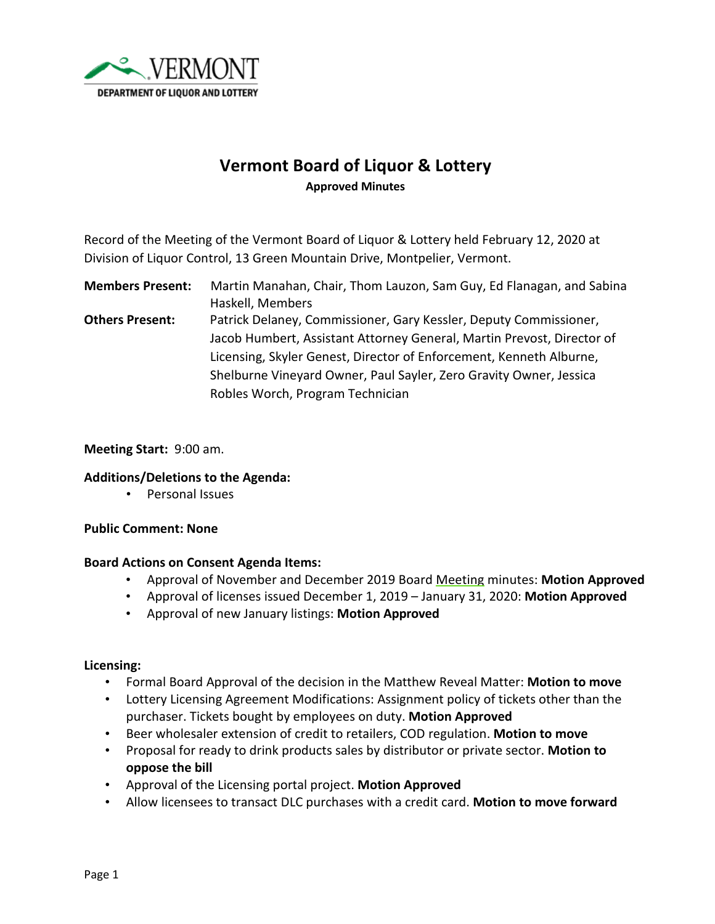

# **Vermont Board of Liquor & Lottery Approved Minutes**

Record of the Meeting of the Vermont Board of Liquor & Lottery held February 12, 2020 at Division of Liquor Control, 13 Green Mountain Drive, Montpelier, Vermont.

**Members Present:** Martin Manahan, Chair, Thom Lauzon, Sam Guy, Ed Flanagan, and Sabina Haskell, Members **Others Present:** Patrick Delaney, Commissioner, Gary Kessler, Deputy Commissioner, Jacob Humbert, Assistant Attorney General, Martin Prevost, Director of Licensing, Skyler Genest, Director of Enforcement, Kenneth Alburne, Shelburne Vineyard Owner, Paul Sayler, Zero Gravity Owner, Jessica

Robles Worch, Program Technician

## **Meeting Start:** 9:00 am.

## **Additions/Deletions to the Agenda:**

• Personal Issues

## **Public Comment: None**

## **Board Actions on Consent Agenda Items:**

- Approval of November and December 2019 Board Meeting minutes: **Motion Approved**
- Approval of licenses issued December 1, 2019 January 31, 2020: **Motion Approved**
- Approval of new January listings: **Motion Approved**

## **Licensing:**

- Formal Board Approval of the decision in the Matthew Reveal Matter: **Motion to move**
- Lottery Licensing Agreement Modifications: Assignment policy of tickets other than the purchaser. Tickets bought by employees on duty. **Motion Approved**
- Beer wholesaler extension of credit to retailers, COD regulation. **Motion to move**
- Proposal for ready to drink products sales by distributor or private sector. **Motion to oppose the bill**
- Approval of the Licensing portal project. **Motion Approved**
- Allow licensees to transact DLC purchases with a credit card. **Motion to move forward**